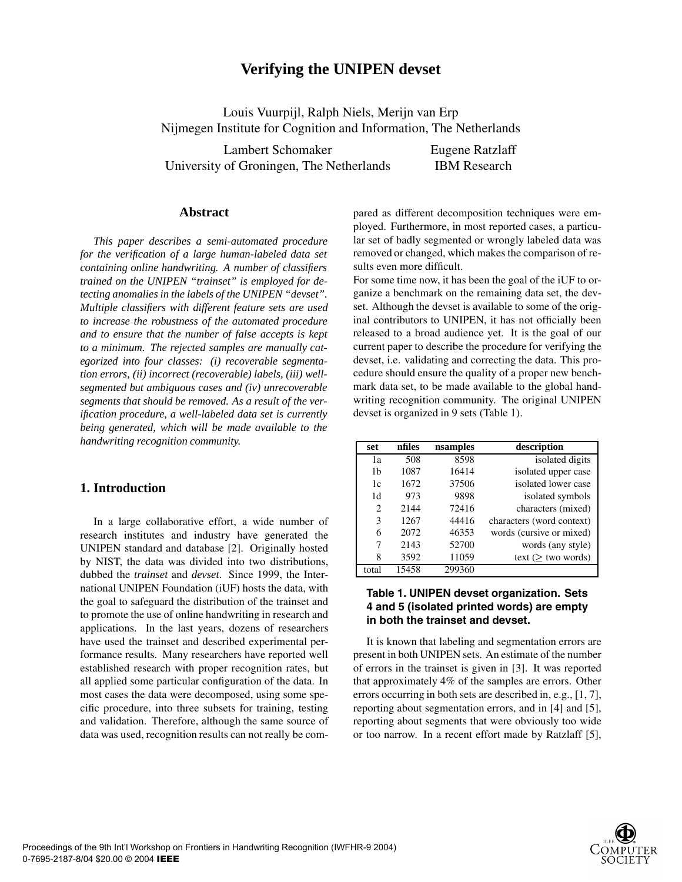# **Verifying the UNIPEN devset**

Louis Vuurpijl, Ralph Niels, Merijn van Erp Nijmegen Institute for Cognition and Information, The Netherlands

Lambert Schomaker University of Groningen, The Netherlands Eugene Ratzlaff IBM Research

# **Abstract**

*This paper describes a semi-automated procedure for the verification of a large human-labeled data set containing online handwriting. A number of classifiers trained on the UNIPEN "trainset" is employed for detecting anomalies in the labels of the UNIPEN "devset". Multiple classifiers with different feature sets are used to increase the robustness of the automated procedure and to ensure that the number of false accepts is kept to a minimum. The rejected samples are manually categorized into four classes: (i) recoverable segmentation errors, (ii) incorrect (recoverable) labels, (iii) wellsegmented but ambiguous cases and (iv) unrecoverable segments that should be removed. As a result of the verification procedure, a well-labeled data set is currently being generated, which will be made available to the handwriting recognition community.*

# **1. Introduction**

In a large collaborative effort, a wide number of research institutes and industry have generated the UNIPEN standard and database [2]. Originally hosted by NIST, the data was divided into two distributions, dubbed the *trainset* and *devset*. Since 1999, the International UNIPEN Foundation (iUF) hosts the data, with the goal to safeguard the distribution of the trainset and to promote the use of online handwriting in research and applications. In the last years, dozens of researchers have used the trainset and described experimental performance results. Many researchers have reported well established research with proper recognition rates, but all applied some particular configuration of the data. In most cases the data were decomposed, using some specific procedure, into three subsets for training, testing and validation. Therefore, although the same source of data was used, recognition results can not really be compared as different decomposition techniques were employed. Furthermore, in most reported cases, a particular set of badly segmented or wrongly labeled data was removed or changed, which makes the comparison of results even more difficult.

For some time now, it has been the goal of the iUF to organize a benchmark on the remaining data set, the devset. Although the devset is available to some of the original contributors to UNIPEN, it has not officially been released to a broad audience yet. It is the goal of our current paper to describe the procedure for verifying the devset, i.e. validating and correcting the data. This procedure should ensure the quality of a proper new benchmark data set, to be made available to the global handwriting recognition community. The original UNIPEN devset is organized in 9 sets (Table 1).

| set            | nfiles | nsamples | description               |  |  |
|----------------|--------|----------|---------------------------|--|--|
| 1a             | 508    | 8598     | isolated digits           |  |  |
| 1b             | 1087   | 16414    | isolated upper case       |  |  |
| 1c             | 1672   | 37506    | isolated lower case       |  |  |
| 1 <sub>d</sub> | 973    | 9898     | isolated symbols          |  |  |
| 2              | 2144   | 72416    | characters (mixed)        |  |  |
| 3              | 1267   | 44416    | characters (word context) |  |  |
| 6              | 2072   | 46353    | words (cursive or mixed)  |  |  |
| 7              | 2143   | 52700    | words (any style)         |  |  |
| 8              | 3592   | 11059    | text( > two words)        |  |  |
| total          | 15458  | 299360   |                           |  |  |

# **Table 1. UNIPEN devset organization. Sets 4 and 5 (isolated printed words) are empty in both the trainset and devset.**

It is known that labeling and segmentation errors are present in both UNIPEN sets. An estimate of the number of errors in the trainset is given in [3]. It was reported that approximately 4% of the samples are errors. Other errors occurring in both sets are described in, e.g., [1, 7], reporting about segmentation errors, and in [4] and [5], reporting about segments that were obviously too wide or too narrow. In a recent effort made by Ratzlaff [5],

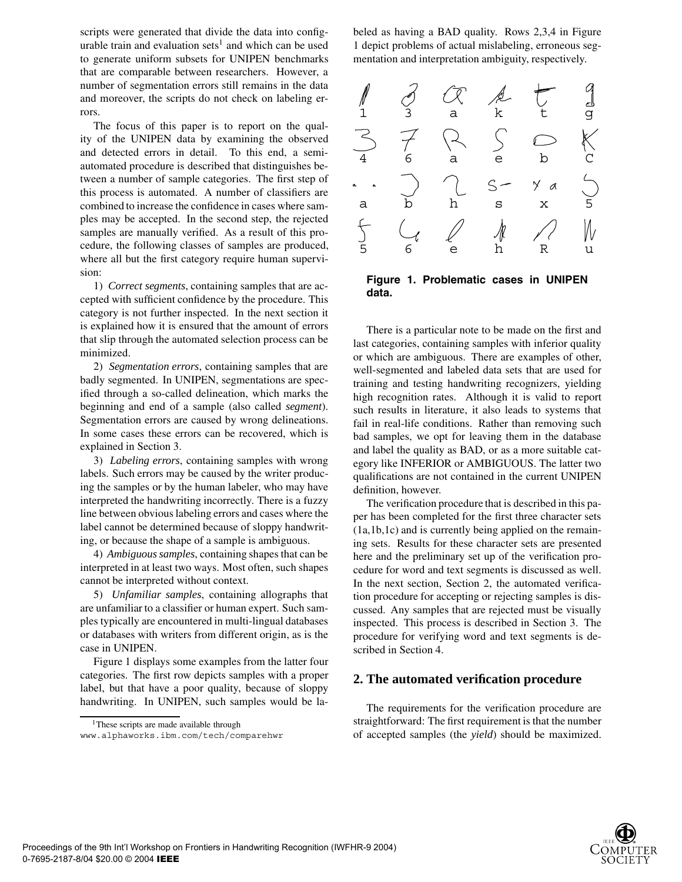scripts were generated that divide the data into configurable train and evaluation sets<sup>1</sup> and which can be used to generate uniform subsets for UNIPEN benchmarks that are comparable between researchers. However, a number of segmentation errors still remains in the data and moreover, the scripts do not check on labeling errors.

The focus of this paper is to report on the quality of the UNIPEN data by examining the observed and detected errors in detail. To this end, a semiautomated procedure is described that distinguishes between a number of sample categories. The first step of this process is automated. A number of classifiers are combined to increase the confidence in cases where samples may be accepted. In the second step, the rejected samples are manually verified. As a result of this procedure, the following classes of samples are produced, where all but the first category require human supervision:

1) *Correct segments*, containing samples that are accepted with sufficient confidence by the procedure. This category is not further inspected. In the next section it is explained how it is ensured that the amount of errors that slip through the automated selection process can be minimized.

2) *Segmentation errors*, containing samples that are badly segmented. In UNIPEN, segmentations are specified through a so-called delineation, which marks the beginning and end of a sample (also called *segment*). Segmentation errors are caused by wrong delineations. In some cases these errors can be recovered, which is explained in Section 3.

3) *Labeling errors*, containing samples with wrong labels. Such errors may be caused by the writer producing the samples or by the human labeler, who may have interpreted the handwriting incorrectly. There is a fuzzy line between obvious labeling errors and cases where the label cannot be determined because of sloppy handwriting, or because the shape of a sample is ambiguous.

4) *Ambiguous samples*, containing shapes that can be interpreted in at least two ways. Most often, such shapes cannot be interpreted without context.

5) *Unfamiliar samples*, containing allographs that are unfamiliar to a classifier or human expert. Such samples typically are encountered in multi-lingual databases or databases with writers from different origin, as is the case in UNIPEN.

Figure 1 displays some examples from the latter four categories. The first row depicts samples with a proper label, but that have a poor quality, because of sloppy handwriting. In UNIPEN, such samples would be labeled as having a BAD quality. Rows 2,3,4 in Figure 1 depict problems of actual mislabeling, erroneous segmentation and interpretation ambiguity, respectively.



**Figure 1. Problematic cases in UNIPEN data.**

There is a particular note to be made on the first and last categories, containing samples with inferior quality or which are ambiguous. There are examples of other, well-segmented and labeled data sets that are used for training and testing handwriting recognizers, yielding high recognition rates. Although it is valid to report such results in literature, it also leads to systems that fail in real-life conditions. Rather than removing such bad samples, we opt for leaving them in the database and label the quality as BAD, or as a more suitable category like INFERIOR or AMBIGUOUS. The latter two qualifications are not contained in the current UNIPEN definition, however.

The verification procedure that is described in this paper has been completed for the first three character sets (1a,1b,1c) and is currently being applied on the remaining sets. Results for these character sets are presented here and the preliminary set up of the verification procedure for word and text segments is discussed as well. In the next section, Section 2, the automated verification procedure for accepting or rejecting samples is discussed. Any samples that are rejected must be visually inspected. This process is described in Section 3. The procedure for verifying word and text segments is described in Section 4.

# **2. The automated verification procedure**

The requirements for the verification procedure are straightforward: The first requirement is that the number of accepted samples (the *yield*) should be maximized.



<sup>&</sup>lt;sup>1</sup>These scripts are made available through

www.alphaworks.ibm.com/tech/comparehwr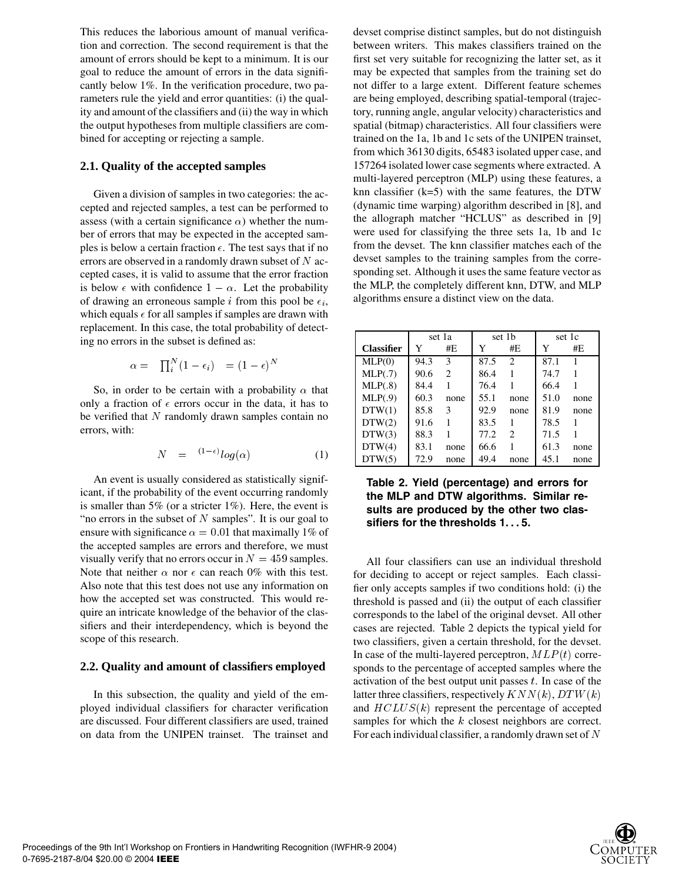This reduces the laborious amount of manual verification and correction. The second requirement is that the amount of errors should be kept to a minimum. It is our goal to reduce the amount of errors in the data significantly below 1%. In the verification procedure, two parameters rule the yield and error quantities: (i) the quality and amount of the classifiers and (ii) the way in which the output hypotheses from multiple classifiers are combined for accepting or rejecting a sample.

#### **2.1. Quality of the accepted samples**

Given a division of samples in two categories: the accepted and rejected samples, a test can be performed to assess (with a certain significance  $\alpha$ ) whether the number of errors that may be expected in the accepted samples is below a certain fraction  $\epsilon$ . The test says that if no errors are observed in a randomly drawn subset of  $N$  accepted cases, it is valid to assume that the error fraction is below  $\epsilon$  with confidence  $1 - \alpha$ . Let the probability of drawing an erroneous sample *i* from this pool be  $\epsilon_i$ , which equals  $\epsilon$  for all samples if samples are drawn with replacement. In this case, the total probability of detecting no errors in the subset is defined as:

$$
\alpha = \prod_i^N (1 - \epsilon_i) = (1 - \epsilon)^N
$$

So, in order to be certain with a probability  $\alpha$  that only a fraction of  $\epsilon$  errors occur in the data, it has to be verified that  $N$  randomly drawn samples contain no errors, with:

$$
N = {}^{(1-\epsilon)}log(\alpha) \tag{1}
$$

An event is usually considered as statistically significant, if the probability of the event occurring randomly is smaller than 5% (or a stricter  $1\%$ ). Here, the event is "no errors in the subset of  $N$  samples". It is our goal to ensure with significance  $\alpha = 0.01$  that maximally 1% of the accepted samples are errors and therefore, we must visually verify that no errors occur in  $N = 459$  samples. Note that neither  $\alpha$  nor  $\epsilon$  can reach 0% with this test. Also note that this test does not use any information on how the accepted set was constructed. This would require an intricate knowledge of the behavior of the classifiers and their interdependency, which is beyond the scope of this research.

#### **2.2. Quality and amount of classifiers employed**

In this subsection, the quality and yield of the employed individual classifiers for character verification are discussed. Four different classifiers are used, trained on data from the UNIPEN trainset. The trainset and

 ac-devset samples to the training samples from the corredevset comprise distinct samples, but do not distinguish between writers. This makes classifiers trained on the first set very suitable for recognizing the latter set, as it may be expected that samples from the training set do not differ to a large extent. Different feature schemes are being employed, describing spatial-temporal (trajectory, running angle, angular velocity) characteristics and spatial (bitmap) characteristics. All four classifiers were trained on the 1a, 1b and 1c sets of the UNIPEN trainset, from which 36130 digits, 65483 isolated upper case, and 157264 isolated lower case segments where extracted. A multi-layered perceptron (MLP) using these features, a knn classifier  $(k=5)$  with the same features, the DTW (dynamic time warping) algorithm described in [8], and the allograph matcher "HCLUS" as described in [9] were used for classifying the three sets 1a, 1b and 1c from the devset. The knn classifier matches each of the sponding set. Although it uses the same feature vector as the MLP, the completely different knn, DTW, and MLP algorithms ensure a distinct view on the data.

|                   | set 1a |      | set 1b |      | set 1c |      |  |
|-------------------|--------|------|--------|------|--------|------|--|
| <b>Classifier</b> | Y      | #E   | Y      | #E   | Y      | #E   |  |
| MLP(0)            | 94.3   | 3    | 87.5   | 2    | 87.1   | 1    |  |
| MLP(.7)           | 90.6   | 2    | 86.4   | 1    | 74.7   | 1    |  |
| MLP(.8)           | 84.4   | 1    | 76.4   | 1    | 66.4   | 1    |  |
| MLP(.9)           | 60.3   | none | 55.1   | none | 51.0   | none |  |
| DTW(1)            | 85.8   | 3    | 92.9   | none | 81.9   | none |  |
| DTW(2)            | 91.6   | 1    | 83.5   | 1    | 78.5   | 1    |  |
| DTW(3)            | 88.3   |      | 77.2   | 2    | 71.5   | 1    |  |
| DTW(4)            | 83.1   | none | 66.6   | 1    | 61.3   | none |  |
| DTW(5)            | 72.9   | none | 49.4   | none | 45.1   | none |  |

**Table 2. Yield (percentage) and errors for the MLP and DTW algorithms. Similar results are produced by the other two classifiers for the thresholds 1. . . 5.**

All four classifiers can use an individual threshold for deciding to accept or reject samples. Each classifier only accepts samples if two conditions hold: (i) the threshold is passed and (ii) the output of each classifier corresponds to the label of the original devset. All other cases are rejected. Table 2 depicts the typical yield for two classifiers, given a certain threshold, for the devset. In case of the multi-layered perceptron,  $MLP(t)$  corresponds to the percentage of accepted samples where the activation of the best output unit passes  $t$ . In case of the latter three classifiers, respectively  $KNN(k)$ ,  $DTW(k)$ and  $HCLUS(k)$  represent the percentage of accepted samples for which the  $k$  closest neighbors are correct. For each individual classifier, a randomly drawn set of  $N$ 

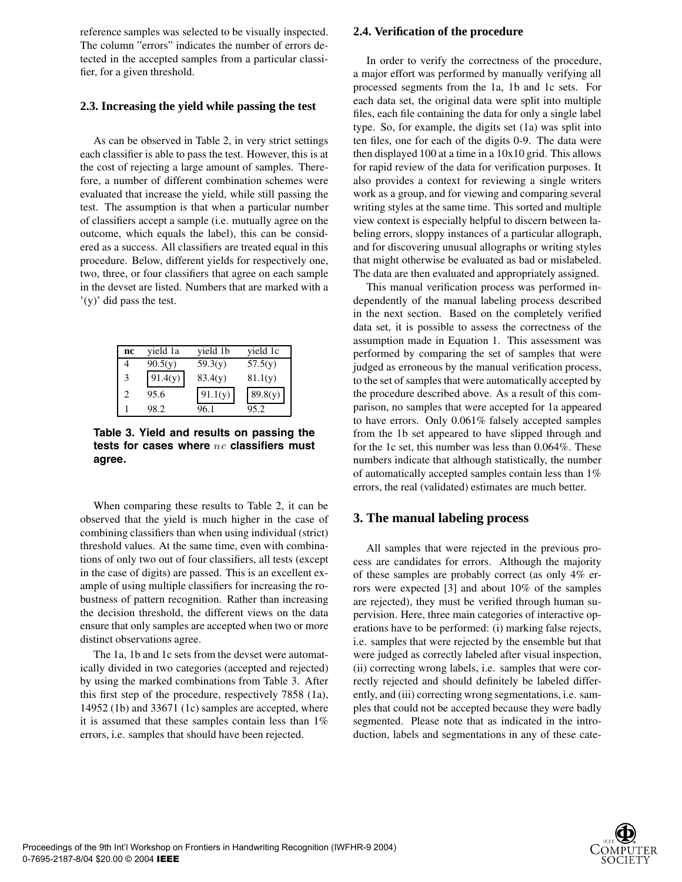reference samples was selected to be visually inspected. The column "errors" indicates the number of errors detected in the accepted samples from a particular classifier, for a given threshold.

# **2.3. Increasing the yield while passing the test**

As can be observed in Table 2, in very strict settings each classifier is able to pass the test. However, this is at the cost of rejecting a large amount of samples. Therefore, a number of different combination schemes were evaluated that increase the yield, while still passing the test. The assumption is that when a particular number of classifiers accept a sample (i.e. mutually agree on the outcome, which equals the label), this can be considered as a success. All classifiers are treated equal in this procedure. Below, different yields for respectively one, two, three, or four classifiers that agree on each sample in the devset are listed. Numbers that are marked with a '(y)' did pass the test.

| nc                          | vield 1a | yield 1b | yield 1c |
|-----------------------------|----------|----------|----------|
| 4                           | 90.5(y)  | 59.3(y)  | 57.5(y)  |
| 3                           | 91.4(y)  | 83.4(y)  | 81.1(y)  |
| $\mathcal{D}_{\mathcal{A}}$ | 95.6     | 91.1(y)  | 89.8(y)  |
|                             | 98.2     | 96.1     | 95.2     |

**Table 3. Yield and results on passing the tests for cases where classifiers must agree.**

When comparing these results to Table 2, it can be observed that the yield is much higher in the case of combining classifiers than when using individual (strict) threshold values. At the same time, even with combinations of only two out of four classifiers, all tests (except in the case of digits) are passed. This is an excellent example of using multiple classifiers for increasing the robustness of pattern recognition. Rather than increasing the decision threshold, the different views on the data ensure that only samples are accepted when two or more distinct observations agree.

The 1a, 1b and 1c sets from the devset were automatically divided in two categories (accepted and rejected) by using the marked combinations from Table 3. After this first step of the procedure, respectively 7858 (1a), 14952 (1b) and 33671 (1c) samples are accepted, where it is assumed that these samples contain less than 1% errors, i.e. samples that should have been rejected.

#### **2.4. Verification of the procedure**

In order to verify the correctness of the procedure, a major effort was performed by manually verifying all processed segments from the 1a, 1b and 1c sets. For each data set, the original data were split into multiple files, each file containing the data for only a single label type. So, for example, the digits set (1a) was split into ten files, one for each of the digits 0-9. The data were then displayed 100 at a time in a 10x10 grid. This allows for rapid review of the data for verification purposes. It also provides a context for reviewing a single writers work as a group, and for viewing and comparing several writing styles at the same time. This sorted and multiple view context is especially helpful to discern between labeling errors, sloppy instances of a particular allograph, and for discovering unusual allographs or writing styles that might otherwise be evaluated as bad or mislabeled. The data are then evaluated and appropriately assigned.

This manual verification process was performed independently of the manual labeling process described in the next section. Based on the completely verified data set, it is possible to assess the correctness of the assumption made in Equation 1. This assessment was performed by comparing the set of samples that were judged as erroneous by the manual verification process, to the set of samples that were automatically accepted by the procedure described above. As a result of this comparison, no samples that were accepted for 1a appeared to have errors. Only 0.061% falsely accepted samples from the 1b set appeared to have slipped through and for the 1c set, this number was less than 0.064%. These numbers indicate that although statistically, the number of automatically accepted samples contain less than 1% errors, the real (validated) estimates are much better.

# **3. The manual labeling process**

All samples that were rejected in the previous process are candidates for errors. Although the majority of these samples are probably correct (as only 4% errors were expected [3] and about 10% of the samples are rejected), they must be verified through human supervision. Here, three main categories of interactive operations have to be performed: (i) marking false rejects, i.e. samples that were rejected by the ensemble but that were judged as correctly labeled after visual inspection, (ii) correcting wrong labels, i.e. samples that were correctly rejected and should definitely be labeled differently, and (iii) correcting wrong segmentations, i.e. samples that could not be accepted because they were badly segmented. Please note that as indicated in the introduction, labels and segmentations in any of these cate-

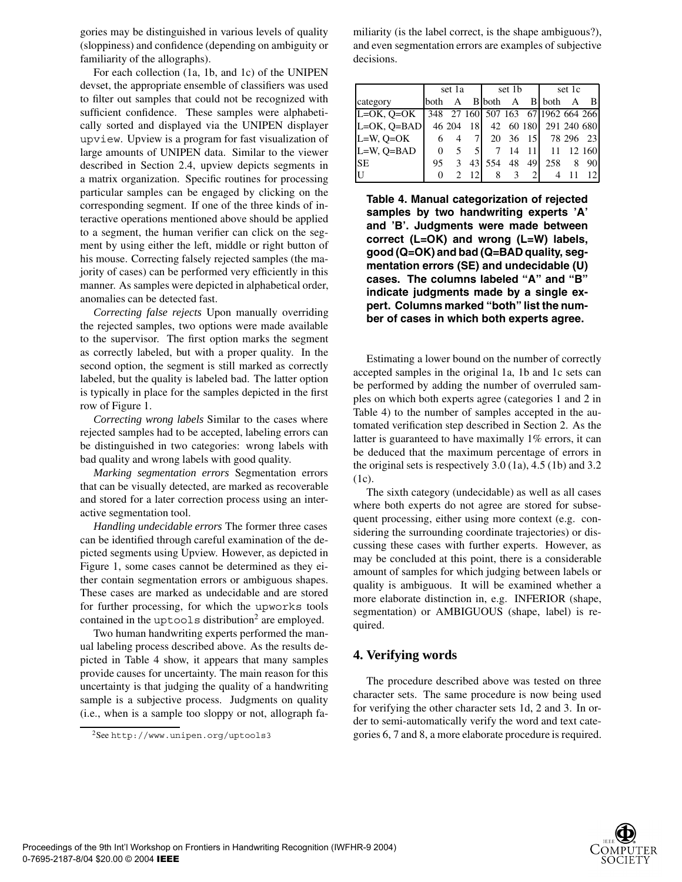gories may be distinguished in various levels of quality (sloppiness) and confidence (depending on ambiguity or familiarity of the allographs).

For each collection (1a, 1b, and 1c) of the UNIPEN devset, the appropriate ensemble of classifiers was used to filter out samples that could not be recognized with sufficient confidence. These samples were alphabetically sorted and displayed via the UNIPEN displayer upview. Upview is a program for fast visualization of large amounts of UNIPEN data. Similar to the viewer described in Section 2.4, upview depicts segments in a matrix organization. Specific routines for processing particular samples can be engaged by clicking on the corresponding segment. If one of the three kinds of interactive operations mentioned above should be applied to a segment, the human verifier can click on the segment by using either the left, middle or right button of his mouse. Correcting falsely rejected samples (the majority of cases) can be performed very efficiently in this manner. As samples were depicted in alphabetical order, anomalies can be detected fast.

*Correcting false rejects* Upon manually overriding the rejected samples, two options were made available to the supervisor. The first option marks the segment as correctly labeled, but with a proper quality. In the second option, the segment is still marked as correctly labeled, but the quality is labeled bad. The latter option is typically in place for the samples depicted in the first row of Figure 1.

*Correcting wrong labels* Similar to the cases where rejected samples had to be accepted, labeling errors can be distinguished in two categories: wrong labels with bad quality and wrong labels with good quality.

*Marking segmentation errors* Segmentation errors that can be visually detected, are marked as recoverable and stored for a later correction process using an interactive segmentation tool.

*Handling undecidable errors* The former three cases can be identified through careful examination of the depicted segments using Upview. However, as depicted in Figure 1, some cases cannot be determined as they either contain segmentation errors or ambiguous shapes. These cases are marked as undecidable and are stored for further processing, for which the upworks tools contained in the uptools distribution<sup>2</sup> are employed.

Two human handwriting experts performed the manual labeling process described above. As the results depicted in Table 4 show, it appears that many samples provide causes for uncertainty. The main reason for this uncertainty is that judging the quality of a handwriting sample is a subjective process. Judgments on quality (i.e., when is a sample too sloppy or not, allograph familiarity (is the label correct, is the shape ambiguous?), and even segmentation errors are examples of subjective decisions.

|                  | set 1a   |        |       | set 1b   |      |                 | set 1c                             |           |    |
|------------------|----------|--------|-------|----------|------|-----------------|------------------------------------|-----------|----|
| category         | both     | A      |       | B both A |      |                 | B both A                           |           |    |
| $L=OK, Q=OK$     |          |        |       |          |      |                 | 348 27 160 507 163 67 1962 664 266 |           |    |
| $L=OK, O=BAD$    |          | 46 204 | - 181 |          |      |                 | 42 60 180 291 240 680              |           |    |
| $L= W, Q=OK$     | 6        |        |       |          |      |                 | 20 36 15 78 296 23                 |           |    |
| $L=$ W, $Q=$ BAD | $\theta$ |        |       |          | 7 14 | 11 <sup>1</sup> |                                    | 11 12 160 |    |
| <b>SE</b>        | 95       |        | 43    | 554      | -48  | 49              | 258                                | 8         | 90 |
| U                |          |        |       |          |      |                 |                                    |           |    |

**Table 4. Manual categorization of rejected samples by two handwriting experts 'A' and 'B'. Judgments were made between correct (L=OK) and wrong (L=W) labels, good (Q=OK) and bad (Q=BAD quality, segmentation errors (SE) and undecidable (U) cases. The columns labeled "A" and "B" indicate judgments made by a single expert. Columns marked "both" list the number of cases in which both experts agree.**

Estimating a lower bound on the number of correctly accepted samples in the original 1a, 1b and 1c sets can be performed by adding the number of overruled samples on which both experts agree (categories 1 and 2 in Table 4) to the number of samples accepted in the automated verification step described in Section 2. As the latter is guaranteed to have maximally 1% errors, it can be deduced that the maximum percentage of errors in the original sets is respectively 3.0 (1a), 4.5 (1b) and 3.2 (1c).

The sixth category (undecidable) as well as all cases where both experts do not agree are stored for subsequent processing, either using more context (e.g. considering the surrounding coordinate trajectories) or discussing these cases with further experts. However, as may be concluded at this point, there is a considerable amount of samples for which judging between labels or quality is ambiguous. It will be examined whether a more elaborate distinction in, e.g. INFERIOR (shape, segmentation) or AMBIGUOUS (shape, label) is required.

# **4. Verifying words**

The procedure described above was tested on three character sets. The same procedure is now being used for verifying the other character sets 1d, 2 and 3. In order to semi-automatically verify the word and text categories 6, 7 and 8, a more elaborate procedure is required.



<sup>2</sup>See http://www.unipen.org/uptools3